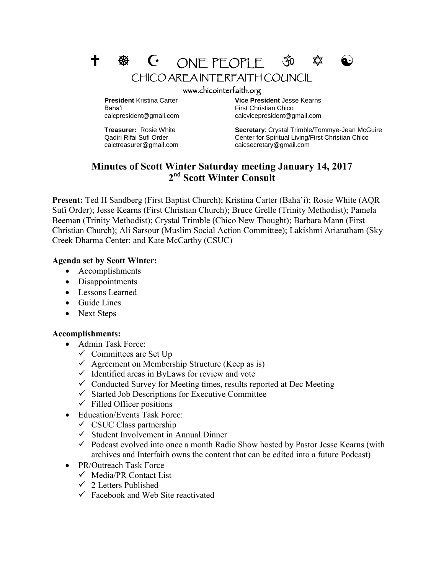



Baha'i **Einest Christian Chico First Christian Chico** 

caictreasurer@gmail.com caicsecretary@gmail.com

**President** Kristina Carter **Vice President** Jesse Kearns caicpresident@gmail.com caicvicepresident@gmail.com

**Treasurer:** Rosie White **Secretary**: Crystal Trimble/Tommye-Jean McGuire Qadiri Rifai Sufi Order Center for Spiritual Living/First Christian Chico

## **Minutes of Scott Winter Saturday meeting January 14, 2017 2 nd Scott Winter Consult**

**Present:** Ted H Sandberg (First Baptist Church); Kristina Carter (Baha'i); Rosie White (AQR Sufi Order); Jesse Kearns (First Christian Church); Bruce Grelle (Trinity Methodist); Pamela Beeman (Trinity Methodist); Crystal Trimble (Chico New Thought); Barbara Mann (First Christian Church); Ali Sarsour (Muslim Social Action Committee); Lakishmi Ariaratham (Sky Creek Dharma Center; and Kate McCarthy (CSUC)

## **Agenda set by Scott Winter:**

- Accomplishments
- Disappointments
- Lessons Learned
- Guide Lines
- Next Steps

## **Accomplishments:**

- Admin Task Force:
	- $\checkmark$  Committees are Set Up
	- $\checkmark$  Agreement on Membership Structure (Keep as is)
	- $\checkmark$  Identified areas in ByLaws for review and vote
	- $\checkmark$  Conducted Survey for Meeting times, results reported at Dec Meeting
	- $\checkmark$  Started Job Descriptions for Executive Committee
	- $\checkmark$  Filled Officer positions
- Education/Events Task Force:
	- $\checkmark$  CSUC Class partnership
	- $\checkmark$  Student Involvement in Annual Dinner
	- $\checkmark$  Podcast evolved into once a month Radio Show hosted by Pastor Jesse Kearns (with archives and Interfaith owns the content that can be edited into a future Podcast)
- PR/Outreach Task Force
	- $\checkmark$  Media/PR Contact List
	- $\checkmark$  2 Letters Published
	- $\checkmark$  Facebook and Web Site reactivated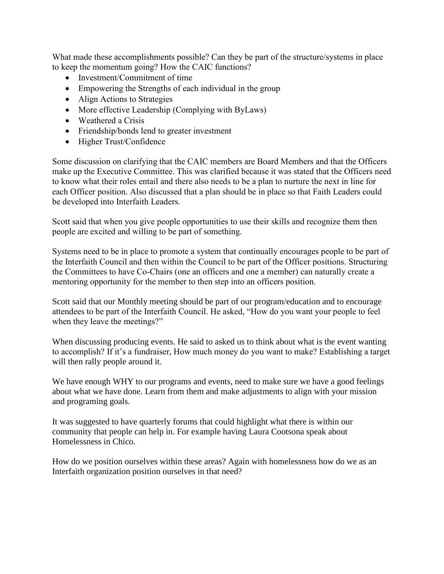What made these accomplishments possible? Can they be part of the structure/systems in place to keep the momentum going? How the CAIC functions?

- Investment/Commitment of time
- Empowering the Strengths of each individual in the group
- Align Actions to Strategies
- More effective Leadership (Complying with ByLaws)
- Weathered a Crisis
- Friendship/bonds lend to greater investment
- Higher Trust/Confidence

Some discussion on clarifying that the CAIC members are Board Members and that the Officers make up the Executive Committee. This was clarified because it was stated that the Officers need to know what their roles entail and there also needs to be a plan to nurture the next in line for each Officer position. Also discussed that a plan should be in place so that Faith Leaders could be developed into Interfaith Leaders.

Scott said that when you give people opportunities to use their skills and recognize them then people are excited and willing to be part of something.

Systems need to be in place to promote a system that continually encourages people to be part of the Interfaith Council and then within the Council to be part of the Officer positions. Structuring the Committees to have Co-Chairs (one an officers and one a member) can naturally create a mentoring opportunity for the member to then step into an officers position.

Scott said that our Monthly meeting should be part of our program/education and to encourage attendees to be part of the Interfaith Council. He asked, "How do you want your people to feel when they leave the meetings?"

When discussing producing events. He said to asked us to think about what is the event wanting to accomplish? If it's a fundraiser, How much money do you want to make? Establishing a target will then rally people around it.

We have enough WHY to our programs and events, need to make sure we have a good feelings about what we have done. Learn from them and make adjustments to align with your mission and programing goals.

It was suggested to have quarterly forums that could highlight what there is within our community that people can help in. For example having Laura Cootsona speak about Homelessness in Chico.

How do we position ourselves within these areas? Again with homelessness how do we as an Interfaith organization position ourselves in that need?